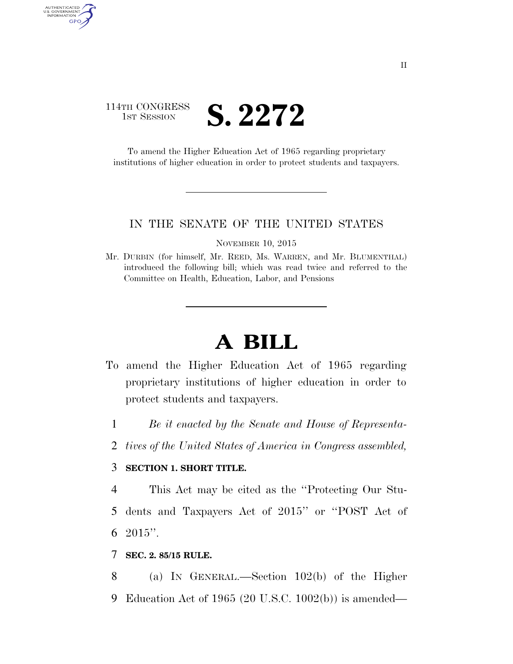# 114TH CONGRESS  $\frac{1}{1}$ ST SESSION  $S. 2272$

AUTHENTICATED<br>U.S. GOVERNMENT<br>INFORMATION GPO

> To amend the Higher Education Act of 1965 regarding proprietary institutions of higher education in order to protect students and taxpayers.

#### IN THE SENATE OF THE UNITED STATES

NOVEMBER 10, 2015

Mr. DURBIN (for himself, Mr. REED, Ms. WARREN, and Mr. BLUMENTHAL) introduced the following bill; which was read twice and referred to the Committee on Health, Education, Labor, and Pensions

# **A BILL**

- To amend the Higher Education Act of 1965 regarding proprietary institutions of higher education in order to protect students and taxpayers.
	- 1 *Be it enacted by the Senate and House of Representa-*
	- 2 *tives of the United States of America in Congress assembled,*

## 3 **SECTION 1. SHORT TITLE.**

4 This Act may be cited as the ''Protecting Our Stu-5 dents and Taxpayers Act of 2015'' or ''POST Act of 6  $2015$ ".

### 7 **SEC. 2. 85/15 RULE.**

8 (a) IN GENERAL.—Section 102(b) of the Higher 9 Education Act of 1965 (20 U.S.C. 1002(b)) is amended—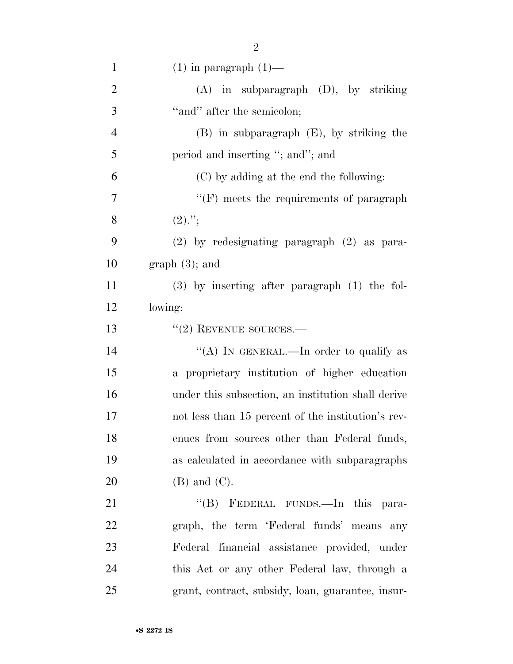| $\mathbf{1}$   | $(1)$ in paragraph $(1)$ —                         |
|----------------|----------------------------------------------------|
| $\overline{2}$ | $(A)$ in subparagraph $(D)$ , by striking          |
| 3              | "and" after the semicolon;                         |
| $\overline{4}$ | $(B)$ in subparagraph $(E)$ , by striking the      |
| 5              | period and inserting "; and"; and                  |
| 6              | (C) by adding at the end the following:            |
| 7              | $\lq\lq(F)$ meets the requirements of paragraph    |
| 8              | $(2)$ .";                                          |
| 9              | (2) by redesignating paragraph (2) as para-        |
| 10             | $graph(3)$ ; and                                   |
| 11             | $(3)$ by inserting after paragraph $(1)$ the fol-  |
| 12             | lowing:                                            |
| 13             | $"(2)$ REVENUE SOURCES.—                           |
| 14             | "(A) IN GENERAL.—In order to qualify as            |
| 15             | a proprietary institution of higher education      |
| 16             | under this subsection, an institution shall derive |
| 17             | not less than 15 percent of the institution's rev- |
| 18             | enues from sources other than Federal funds,       |
| 19             | as calculated in accordance with subparagraphs     |
| 20             | $(B)$ and $(C)$ .                                  |
| 21             | "(B) FEDERAL FUNDS.—In this para-                  |
| 22             | graph, the term 'Federal funds' means any          |
| 23             | Federal financial assistance provided, under       |
| 24             | this Act or any other Federal law, through a       |
| 25             | grant, contract, subsidy, loan, guarantee, insur-  |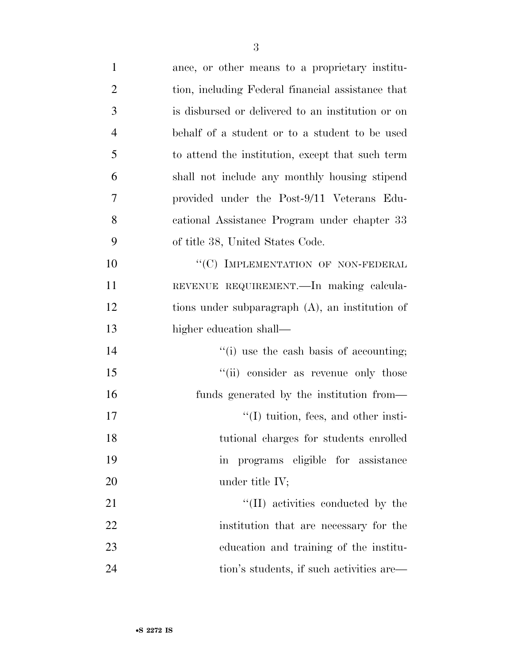| $\mathbf{1}$   | ance, or other means to a proprietary institu-     |
|----------------|----------------------------------------------------|
| $\overline{2}$ | tion, including Federal financial assistance that  |
| 3              | is disbursed or delivered to an institution or on  |
| $\overline{4}$ | behalf of a student or to a student to be used     |
| 5              | to attend the institution, except that such term   |
| 6              | shall not include any monthly housing stipend      |
| 7              | provided under the Post-9/11 Veterans Edu-         |
| 8              | cational Assistance Program under chapter 33       |
| 9              | of title 38, United States Code.                   |
| 10             | "(C) IMPLEMENTATION OF NON-FEDERAL                 |
| 11             | REVENUE REQUIREMENT. In making calcula-            |
| 12             | tions under subparagraph $(A)$ , an institution of |
| 13             | higher education shall—                            |
| 14             | $f'(i)$ use the cash basis of accounting;          |
| 15             | "(ii) consider as revenue only those               |
| 16             | funds generated by the institution from—           |
| 17             | $\lq\lq$ (I) tuition, fees, and other insti-       |
| 18             | tutional charges for students enrolled             |
| 19             | in programs eligible for assistance                |
| 20             | under title $IV;$                                  |
| 21             | $\lq\lq$ (II) activities conducted by the          |
| 22             | institution that are necessary for the             |
| 23             | education and training of the institu-             |
| 24             | tion's students, if such activities are—           |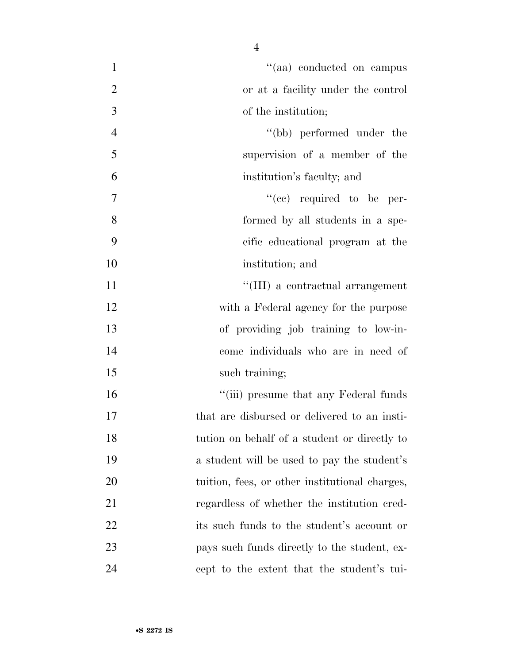| $\mathbf{1}$   | "(aa) conducted on campus                      |
|----------------|------------------------------------------------|
| $\overline{2}$ | or at a facility under the control             |
| 3              | of the institution;                            |
| $\overline{4}$ | "(bb) performed under the                      |
| 5              | supervision of a member of the                 |
| 6              | institution's faculty; and                     |
| 7              | $``(ee)$ required to be per-                   |
| 8              | formed by all students in a spe-               |
| 9              | cific educational program at the               |
| 10             | institution; and                               |
| 11             | "(III) a contractual arrangement               |
| 12             | with a Federal agency for the purpose          |
| 13             | of providing job training to low-in-           |
| 14             | come individuals who are in need of            |
| 15             | such training;                                 |
| 16             | "(iii) presume that any Federal funds          |
| 17             | that are disbursed or delivered to an insti-   |
| 18             | tution on behalf of a student or directly to   |
| 19             | a student will be used to pay the student's    |
| 20             | tuition, fees, or other institutional charges, |
| 21             | regardless of whether the institution cred-    |
| 22             | its such funds to the student's account or     |
| 23             | pays such funds directly to the student, ex-   |
| 24             | cept to the extent that the student's tui-     |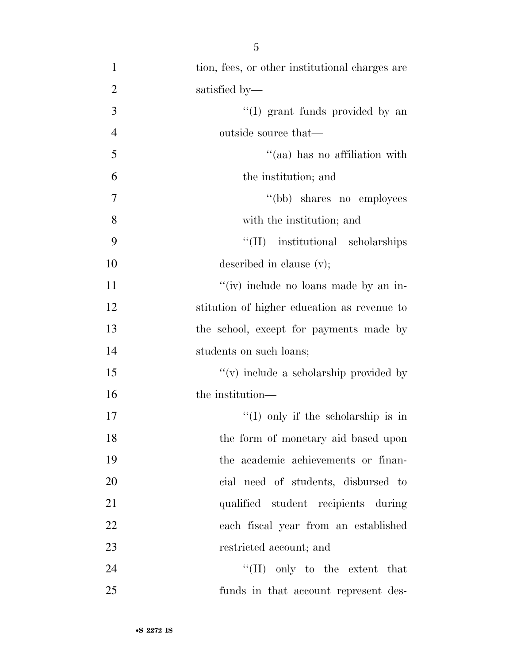| $\mathbf{1}$   | tion, fees, or other institutional charges are |
|----------------|------------------------------------------------|
| $\overline{2}$ | satisfied by—                                  |
| $\mathfrak{Z}$ | "(I) grant funds provided by an                |
| $\overline{4}$ | outside source that—                           |
| 5              | "(aa) has no affiliation with                  |
| 6              | the institution; and                           |
| 7              | "(bb) shares no employees                      |
| 8              | with the institution; and                      |
| 9              | "(II) institutional scholarships               |
| 10             | described in clause $(v)$ ;                    |
| 11             | "(iv) include no loans made by an in-          |
| 12             | stitution of higher education as revenue to    |
| 13             | the school, except for payments made by        |
| 14             | students on such loans;                        |
| 15             | $\lq\lq$ include a scholarship provided by     |
| 16             | the institution—                               |
| 17             | "(I) only if the scholarship is in             |
| 18             | the form of monetary aid based upon            |
| 19             | the academic achievements or finan-            |
| 20             | cial need of students, disbursed to            |
| 21             | qualified student recipients during            |
| 22             | each fiscal year from an established           |
| 23             | restricted account; and                        |
| 24             | "(II) only to the extent that                  |
| 25             | funds in that account represent des-           |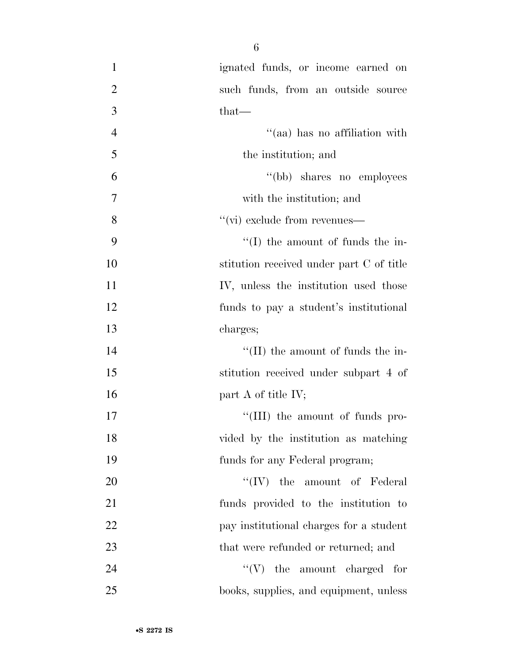| $\mathbf{1}$   | ignated funds, or income earned on        |
|----------------|-------------------------------------------|
| $\overline{2}$ | such funds, from an outside source        |
| 3              | $that-$                                   |
| $\overline{4}$ | "(aa) has no affiliation with             |
| 5              | the institution; and                      |
| 6              | "(bb) shares no employees                 |
| $\overline{7}$ | with the institution; and                 |
| 8              | $\lq\lq$ (vi) exclude from revenues—      |
| 9              | $\lq\lq$ (I) the amount of funds the in-  |
| 10             | stitution received under part C of title  |
| 11             | IV, unless the institution used those     |
| 12             | funds to pay a student's institutional    |
| 13             | charges;                                  |
| 14             | $\lq\lq$ (II) the amount of funds the in- |
| 15             | stitution received under subpart 4 of     |
| 16             | part A of title $\rm IV;$                 |
| 17             | "(III) the amount of funds pro-           |
| 18             | vided by the institution as matching      |
| 19             | funds for any Federal program;            |
| 20             | $``(IV)$ the amount of Federal            |
| 21             | funds provided to the institution to      |
| 22             | pay institutional charges for a student   |
| 23             | that were refunded or returned; and       |
| 24             | $\lq\lq (V)$ the amount charged for       |
| 25             | books, supplies, and equipment, unless    |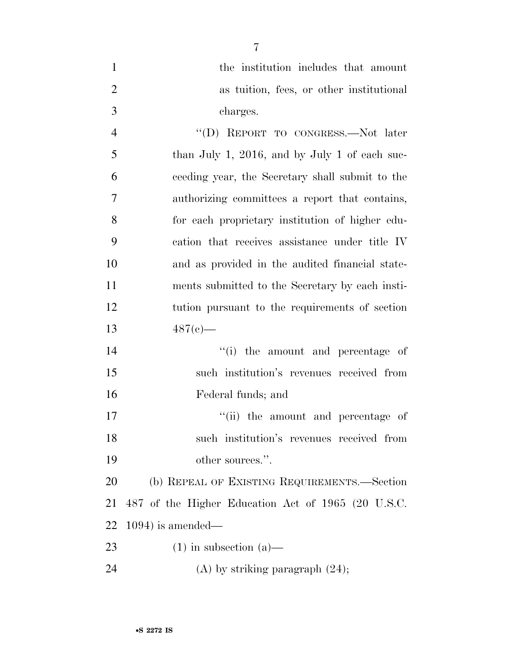| $\mathbf{1}$   | the institution includes that amount               |
|----------------|----------------------------------------------------|
| $\overline{2}$ | as tuition, fees, or other institutional           |
| 3              | charges.                                           |
| $\overline{4}$ | "(D) REPORT TO CONGRESS.—Not later                 |
| 5              | than July 1, 2016, and by July 1 of each suc-      |
| 6              | ceeding year, the Secretary shall submit to the    |
| 7              | authorizing committees a report that contains,     |
| 8              | for each proprietary institution of higher edu-    |
| 9              | cation that receives assistance under title IV     |
| 10             | and as provided in the audited financial state-    |
| 11             | ments submitted to the Secretary by each insti-    |
| 12             | tution pursuant to the requirements of section     |
| 13             | $487(e)$ —                                         |
| 14             | "(i) the amount and percentage of                  |
| 15             | such institution's revenues received from          |
| 16             | Federal funds; and                                 |
| 17             |                                                    |
|                | "(ii) the amount and percentage of                 |
| 18             | such institution's revenues received from          |
| 19             | other sources.".                                   |
| 20             | (b) REPEAL OF EXISTING REQUIREMENTS.—Section       |
| 21             | 487 of the Higher Education Act of 1965 (20 U.S.C. |
| 22             | $1094$ ) is amended—                               |
| 23             | $(1)$ in subsection $(a)$ —                        |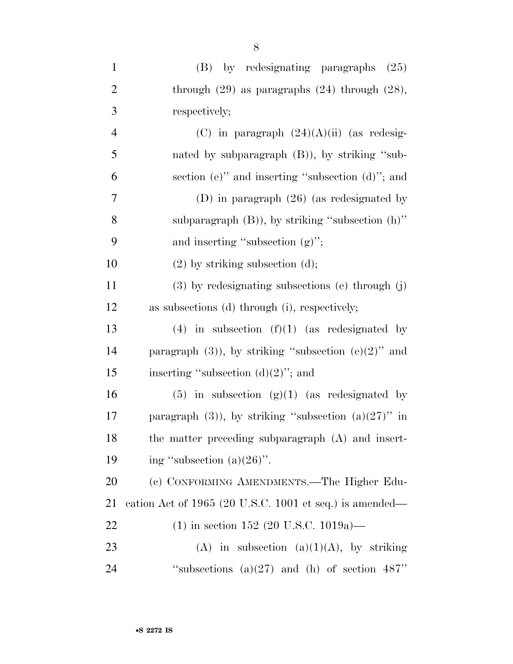| $\mathbf{1}$   | (B) by redesignating paragraphs<br>(25)                   |
|----------------|-----------------------------------------------------------|
| $\overline{2}$ | through $(29)$ as paragraphs $(24)$ through $(28)$ ,      |
| 3              | respectively;                                             |
| $\overline{4}$ | (C) in paragraph $(24)(A)(ii)$ (as redesig-               |
| 5              | nated by subparagraph $(B)$ ), by striking "sub-          |
| 6              | section (e)" and inserting "subsection (d)"; and          |
| 7              | (D) in paragraph $(26)$ (as redesignated by               |
| 8              | subparagraph $(B)$ ), by striking "subsection $(h)$ "     |
| 9              | and inserting "subsection $(g)$ ";                        |
| 10             | $(2)$ by striking subsection $(d)$ ;                      |
| 11             | $(3)$ by redesignating subsections (e) through $(j)$      |
| 12             | as subsections (d) through (i), respectively;             |
| 13             | $(4)$ in subsection $(f)(1)$ (as redesignated by          |
| 14             | paragraph $(3)$ ), by striking "subsection $(e)(2)$ " and |
| 15             | inserting "subsection $(d)(2)$ "; and                     |
| 16             | $(5)$ in subsection $(g)(1)$ (as redesignated by          |
| 17             | paragraph $(3)$ , by striking "subsection $(a)(27)$ " in  |
| 18             | the matter preceding subparagraph (A) and insert-         |
| 19             | ing "subsection $(a)(26)$ ".                              |
| 20             | (c) CONFORMING AMENDMENTS.—The Higher Edu-                |
| 21             | cation Act of 1965 (20 U.S.C. 1001 et seq.) is amended—   |
| 22             | $(1)$ in section 152 (20 U.S.C. 1019a)—                   |
| 23             | (A) in subsection (a)(1)(A), by striking                  |
| 24             | "subsections $(a)(27)$ and $(h)$ of section 487"          |